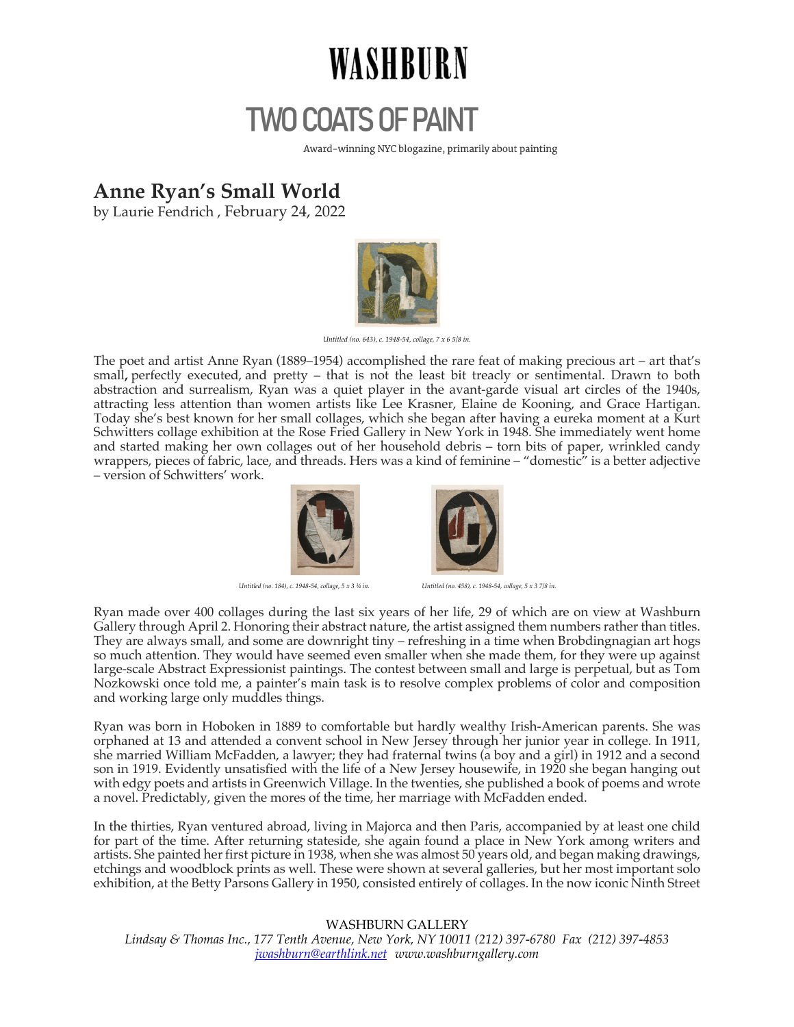## WASHBURN

## **TWO COATS OF PAINT**

Award-winning NYC blogazine, primarily about painting

## **Anne Ryan's Small World**

by Laurie Fendrich , February 24, 2022



*Untitled (no. 643), c. 1948-54, collage, 7 x 6 5/8 in.*

The poet and artist Anne Ryan (1889–1954) accomplished the rare feat of making precious art – art that's small**,** perfectly executed, and pretty – that is not the least bit treacly or sentimental. Drawn to both abstraction and surrealism, Ryan was a quiet player in the avant-garde visual art circles of the 1940s, attracting less attention than women artists like Lee Krasner, Elaine de Kooning, and Grace Hartigan. Today she's best known for her small collages, which she began after having a eureka moment at a Kurt Schwitters collage exhibition at the Rose Fried Gallery in New York in 1948. She immediately went home and started making her own collages out of her household debris – torn bits of paper, wrinkled candy wrappers, pieces of fabric, lace, and threads. Hers was a kind of feminine – "domestic" is a better adjective – version of Schwitters' work.





*Untitled (no. 184), c. 1948-54, collage, 5 x 3 ¾ in. Untitled (no. 458), c. 1948-54, collage, 5 x 3 7/8 in.*

Ryan made over 400 collages during the last six years of her life, 29 of which are on view at Washburn Gallery through April 2. Honoring their abstract nature, the artist assigned them numbers rather than titles. They are always small, and some are downright tiny – refreshing in a time when Brobdingnagian art hogs so much attention. They would have seemed even smaller when she made them, for they were up against large-scale Abstract Expressionist paintings. The contest between small and large is perpetual, but as Tom Nozkowski once told me, a painter's main task is to resolve complex problems of color and composition and working large only muddles things.

Ryan was born in Hoboken in 1889 to comfortable but hardly wealthy Irish-American parents. She was orphaned at 13 and attended a convent school in New Jersey through her junior year in college. In 1911, she married William McFadden, a lawyer; they had fraternal twins (a boy and a girl) in 1912 and a second son in 1919. Evidently unsatisfied with the life of a New Jersey housewife, in 1920 she began hanging out with edgy poets and artists in Greenwich Village. In the twenties, she published a book of poems and wrote a novel. Predictably, given the mores of the time, her marriage with McFadden ended.

In the thirties, Ryan ventured abroad, living in Majorca and then Paris, accompanied by at least one child for part of the time. After returning stateside, she again found a place in New York among writers and artists. She painted her first picture in 1938, when she was almost 50 years old, and began making drawings, etchings and woodblock prints as well. These were shown at several galleries, but her most important solo exhibition, at the Betty Parsons Gallery in 1950, consisted entirely of collages. In the now iconic Ninth Street

WASHBURN GALLERY *Lindsay & Thomas Inc., 177 Tenth Avenue, New York, NY 10011 (212) 397-6780 Fax (212) 397-4853 jwashburn@earthlink.net www.washburngallery.com*